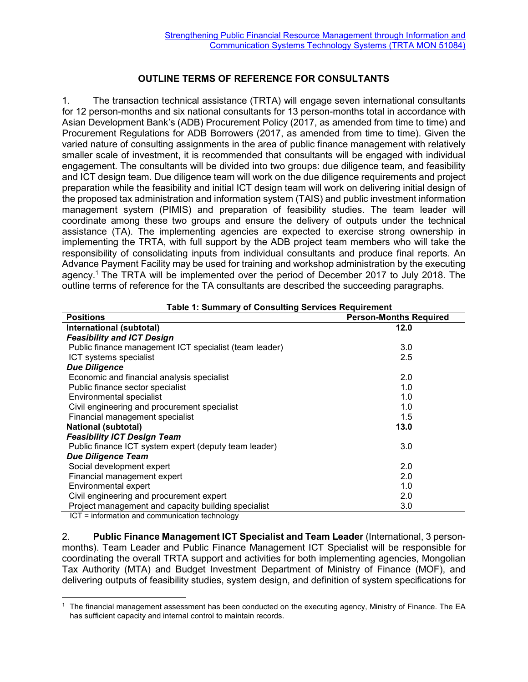## **OUTLINE TERMS OF REFERENCE FOR CONSULTANTS**

1. The transaction technical assistance (TRTA) will engage seven international consultants for 12 person-months and six national consultants for 13 person-months total in accordance with Asian Development Bank's (ADB) Procurement Policy (2017, as amended from time to time) and Procurement Regulations for ADB Borrowers (2017, as amended from time to time). Given the varied nature of consulting assignments in the area of public finance management with relatively smaller scale of investment, it is recommended that consultants will be engaged with individual engagement. The consultants will be divided into two groups: due diligence team, and feasibility and ICT design team. Due diligence team will work on the due diligence requirements and project preparation while the feasibility and initial ICT design team will work on delivering initial design of the proposed tax administration and information system (TAIS) and public investment information management system (PIMIS) and preparation of feasibility studies. The team leader will coordinate among these two groups and ensure the delivery of outputs under the technical assistance (TA). The implementing agencies are expected to exercise strong ownership in implementing the TRTA, with full support by the ADB project team members who will take the responsibility of consolidating inputs from individual consultants and produce final reports. An Advance Payment Facility may be used for training and workshop administration by the executing agency.<sup>1</sup> The TRTA will be implemented over the period of December 2017 to July 2018. The outline terms of reference for the TA consultants are described the succeeding paragraphs.

| יטייט פי<br><b>Positions</b>                           | <b>Person-Months Required</b> |
|--------------------------------------------------------|-------------------------------|
| International (subtotal)                               | 12.0                          |
| <b>Feasibility and ICT Design</b>                      |                               |
| Public finance management ICT specialist (team leader) | 3.0                           |
| ICT systems specialist                                 | 2.5                           |
| <b>Due Diligence</b>                                   |                               |
| Economic and financial analysis specialist             | 2.0                           |
| Public finance sector specialist                       | 1.0                           |
| Environmental specialist                               | 1.0                           |
| Civil engineering and procurement specialist           | 1.0                           |
| Financial management specialist                        | 1.5                           |
| <b>National (subtotal)</b>                             | 13.0                          |
| <b>Feasibility ICT Design Team</b>                     |                               |
| Public finance ICT system expert (deputy team leader)  | 3.0                           |
| <b>Due Diligence Team</b>                              |                               |
| Social development expert                              | 2.0                           |
| Financial management expert                            | 2.0                           |
| Environmental expert                                   | 1.0                           |
| Civil engineering and procurement expert               | 2.0                           |
| Project management and capacity building specialist    | 3.0                           |

**Table 1: Summary of Consulting Services Requirement**

ICT = information and communication technology

2. **Public Finance Management ICT Specialist and Team Leader** (International, 3 personmonths). Team Leader and Public Finance Management ICT Specialist will be responsible for coordinating the overall TRTA support and activities for both implementing agencies, Mongolian Tax Authority (MTA) and Budget Investment Department of Ministry of Finance (MOF), and delivering outputs of feasibility studies, system design, and definition of system specifications for

<sup>1</sup> The financial management assessment has been conducted on the executing agency, Ministry of Finance. The EA has sufficient capacity and internal control to maintain records.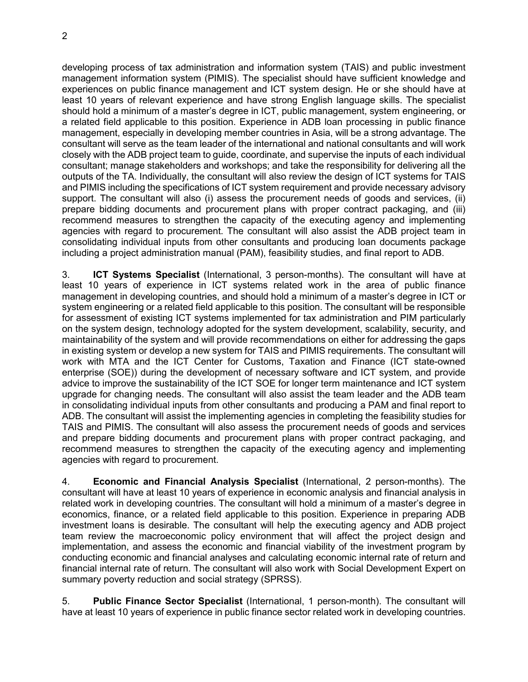developing process of tax administration and information system (TAIS) and public investment management information system (PIMIS). The specialist should have sufficient knowledge and experiences on public finance management and ICT system design. He or she should have at least 10 years of relevant experience and have strong English language skills. The specialist should hold a minimum of a master's degree in ICT, public management, system engineering, or a related field applicable to this position. Experience in ADB loan processing in public finance management, especially in developing member countries in Asia, will be a strong advantage. The consultant will serve as the team leader of the international and national consultants and will work closely with the ADB project team to guide, coordinate, and supervise the inputs of each individual consultant; manage stakeholders and workshops; and take the responsibility for delivering all the outputs of the TA. Individually, the consultant will also review the design of ICT systems for TAIS and PIMIS including the specifications of ICT system requirement and provide necessary advisory support. The consultant will also (i) assess the procurement needs of goods and services, (ii) prepare bidding documents and procurement plans with proper contract packaging, and (iii) recommend measures to strengthen the capacity of the executing agency and implementing agencies with regard to procurement. The consultant will also assist the ADB project team in consolidating individual inputs from other consultants and producing loan documents package including a project administration manual (PAM), feasibility studies, and final report to ADB.

3. **ICT Systems Specialist** (International, 3 person-months). The consultant will have at least 10 years of experience in ICT systems related work in the area of public finance management in developing countries, and should hold a minimum of a master's degree in ICT or system engineering or a related field applicable to this position. The consultant will be responsible for assessment of existing ICT systems implemented for tax administration and PIM particularly on the system design, technology adopted for the system development, scalability, security, and maintainability of the system and will provide recommendations on either for addressing the gaps in existing system or develop a new system for TAIS and PIMIS requirements. The consultant will work with MTA and the ICT Center for Customs, Taxation and Finance (ICT state-owned enterprise (SOE)) during the development of necessary software and ICT system, and provide advice to improve the sustainability of the ICT SOE for longer term maintenance and ICT system upgrade for changing needs. The consultant will also assist the team leader and the ADB team in consolidating individual inputs from other consultants and producing a PAM and final report to ADB. The consultant will assist the implementing agencies in completing the feasibility studies for TAIS and PIMIS. The consultant will also assess the procurement needs of goods and services and prepare bidding documents and procurement plans with proper contract packaging, and recommend measures to strengthen the capacity of the executing agency and implementing agencies with regard to procurement.

4. **Economic and Financial Analysis Specialist** (International, 2 person-months). The consultant will have at least 10 years of experience in economic analysis and financial analysis in related work in developing countries. The consultant will hold a minimum of a master's degree in economics, finance, or a related field applicable to this position. Experience in preparing ADB investment loans is desirable. The consultant will help the executing agency and ADB project team review the macroeconomic policy environment that will affect the project design and implementation, and assess the economic and financial viability of the investment program by conducting economic and financial analyses and calculating economic internal rate of return and financial internal rate of return. The consultant will also work with Social Development Expert on summary poverty reduction and social strategy (SPRSS).

5. **Public Finance Sector Specialist** (International, 1 person-month). The consultant will have at least 10 years of experience in public finance sector related work in developing countries.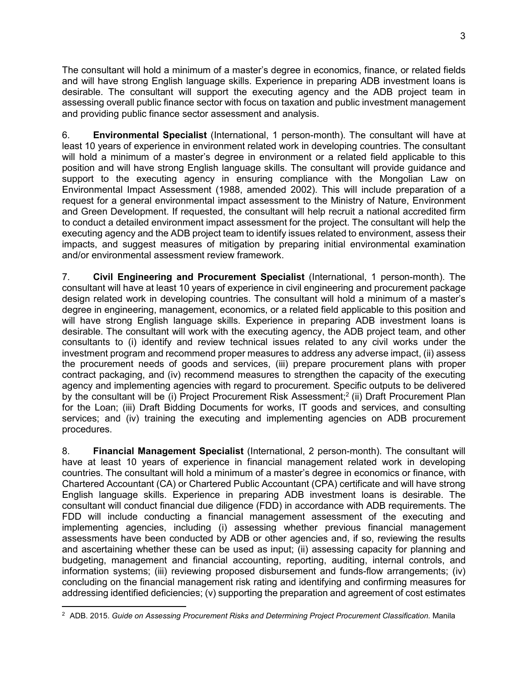The consultant will hold a minimum of a master's degree in economics, finance, or related fields and will have strong English language skills. Experience in preparing ADB investment loans is desirable. The consultant will support the executing agency and the ADB project team in assessing overall public finance sector with focus on taxation and public investment management and providing public finance sector assessment and analysis.

6. **Environmental Specialist** (International, 1 person-month). The consultant will have at least 10 years of experience in environment related work in developing countries. The consultant will hold a minimum of a master's degree in environment or a related field applicable to this position and will have strong English language skills. The consultant will provide guidance and support to the executing agency in ensuring compliance with the Mongolian Law on Environmental Impact Assessment (1988, amended 2002). This will include preparation of a request for a general environmental impact assessment to the Ministry of Nature, Environment and Green Development. If requested, the consultant will help recruit a national accredited firm to conduct a detailed environment impact assessment for the project. The consultant will help the executing agency and the ADB project team to identify issues related to environment, assess their impacts, and suggest measures of mitigation by preparing initial environmental examination and/or environmental assessment review framework.

7. **Civil Engineering and Procurement Specialist** (International, 1 person-month). The consultant will have at least 10 years of experience in civil engineering and procurement package design related work in developing countries. The consultant will hold a minimum of a master's degree in engineering, management, economics, or a related field applicable to this position and will have strong English language skills. Experience in preparing ADB investment loans is desirable. The consultant will work with the executing agency, the ADB project team, and other consultants to (i) identify and review technical issues related to any civil works under the investment program and recommend proper measures to address any adverse impact, (ii) assess the procurement needs of goods and services, (iii) prepare procurement plans with proper contract packaging, and (iv) recommend measures to strengthen the capacity of the executing agency and implementing agencies with regard to procurement. Specific outputs to be delivered by the consultant will be (i) Project Procurement Risk Assessment;<sup>2</sup> (ii) Draft Procurement Plan for the Loan; (iii) Draft Bidding Documents for works, IT goods and services, and consulting services; and (iv) training the executing and implementing agencies on ADB procurement procedures.

8. **Financial Management Specialist** (International, 2 person-month). The consultant will have at least 10 years of experience in financial management related work in developing countries. The consultant will hold a minimum of a master's degree in economics or finance, with Chartered Accountant (CA) or Chartered Public Accountant (CPA) certificate and will have strong English language skills. Experience in preparing ADB investment loans is desirable. The consultant will conduct financial due diligence (FDD) in accordance with ADB requirements. The FDD will include conducting a financial management assessment of the executing and implementing agencies, including (i) assessing whether previous financial management assessments have been conducted by ADB or other agencies and, if so, reviewing the results and ascertaining whether these can be used as input; (ii) assessing capacity for planning and budgeting, management and financial accounting, reporting, auditing, internal controls, and information systems; (iii) reviewing proposed disbursement and funds-flow arrangements; (iv) concluding on the financial management risk rating and identifying and confirming measures for addressing identified deficiencies; (v) supporting the preparation and agreement of cost estimates  $\overline{a}$ 

<sup>2</sup> ADB. 2015. *Guide on Assessing Procurement Risks and Determining Project Procurement Classification.* Manila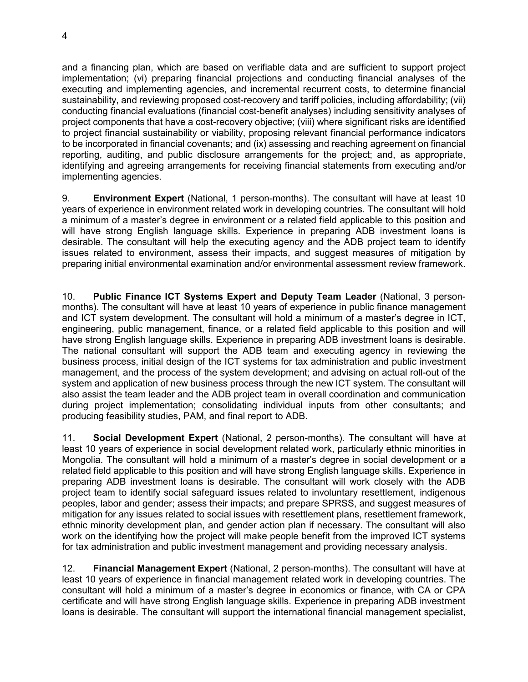and a financing plan, which are based on verifiable data and are sufficient to support project implementation; (vi) preparing financial projections and conducting financial analyses of the executing and implementing agencies, and incremental recurrent costs, to determine financial sustainability, and reviewing proposed cost-recovery and tariff policies, including affordability; (vii) conducting financial evaluations (financial cost-benefit analyses) including sensitivity analyses of project components that have a cost-recovery objective; (viii) where significant risks are identified to project financial sustainability or viability, proposing relevant financial performance indicators to be incorporated in financial covenants; and (ix) assessing and reaching agreement on financial reporting, auditing, and public disclosure arrangements for the project; and, as appropriate, identifying and agreeing arrangements for receiving financial statements from executing and/or implementing agencies.

9. **Environment Expert** (National, 1 person-months). The consultant will have at least 10 years of experience in environment related work in developing countries. The consultant will hold a minimum of a master's degree in environment or a related field applicable to this position and will have strong English language skills. Experience in preparing ADB investment loans is desirable. The consultant will help the executing agency and the ADB project team to identify issues related to environment, assess their impacts, and suggest measures of mitigation by preparing initial environmental examination and/or environmental assessment review framework.

10. **Public Finance ICT Systems Expert and Deputy Team Leader** (National, 3 personmonths). The consultant will have at least 10 years of experience in public finance management and ICT system development. The consultant will hold a minimum of a master's degree in ICT, engineering, public management, finance, or a related field applicable to this position and will have strong English language skills. Experience in preparing ADB investment loans is desirable. The national consultant will support the ADB team and executing agency in reviewing the business process, initial design of the ICT systems for tax administration and public investment management, and the process of the system development; and advising on actual roll-out of the system and application of new business process through the new ICT system. The consultant will also assist the team leader and the ADB project team in overall coordination and communication during project implementation; consolidating individual inputs from other consultants; and producing feasibility studies, PAM, and final report to ADB.

11. **Social Development Expert** (National, 2 person-months). The consultant will have at least 10 years of experience in social development related work, particularly ethnic minorities in Mongolia. The consultant will hold a minimum of a master's degree in social development or a related field applicable to this position and will have strong English language skills. Experience in preparing ADB investment loans is desirable. The consultant will work closely with the ADB project team to identify social safeguard issues related to involuntary resettlement, indigenous peoples, labor and gender; assess their impacts; and prepare SPRSS, and suggest measures of mitigation for any issues related to social issues with resettlement plans, resettlement framework, ethnic minority development plan, and gender action plan if necessary. The consultant will also work on the identifying how the project will make people benefit from the improved ICT systems for tax administration and public investment management and providing necessary analysis.

12. **Financial Management Expert** (National, 2 person-months). The consultant will have at least 10 years of experience in financial management related work in developing countries. The consultant will hold a minimum of a master's degree in economics or finance, with CA or CPA certificate and will have strong English language skills. Experience in preparing ADB investment loans is desirable. The consultant will support the international financial management specialist,